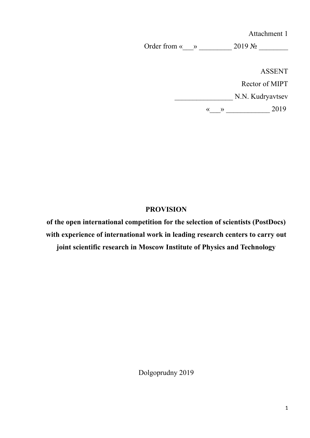Attachment 1

Order from « $\_\_\_\_\_\_\_\_$  2019 №  $\_\_\_\_\_\_\_\_\_\_$ 

ASSENT Rector of MIPT N.N. Kudryavtsev  $\leftarrow$   $\leftarrow$   $\leftarrow$   $\leftarrow$   $\leftarrow$   $\leftarrow$   $\leftarrow$   $\leftarrow$   $\leftarrow$   $\leftarrow$   $\leftarrow$   $\leftarrow$   $\leftarrow$   $\leftarrow$   $\leftarrow$   $\leftarrow$   $\leftarrow$   $\leftarrow$   $\leftarrow$   $\leftarrow$   $\leftarrow$   $\leftarrow$   $\leftarrow$   $\leftarrow$   $\leftarrow$   $\leftarrow$   $\leftarrow$   $\leftarrow$   $\leftarrow$   $\leftarrow$   $\leftarrow$   $\leftarrow$   $\leftarrow$   $\leftarrow$   $\leftarrow$   $\leftarrow$   $\leftarrow$ 

#### **PROVISION**

**of the open international competition for the selection of scientists (PostDocs) with experience of international work in leading research centers to carry out**

**joint scientific research in Moscow Institute of Physics and Technology**

Dolgoprudny 2019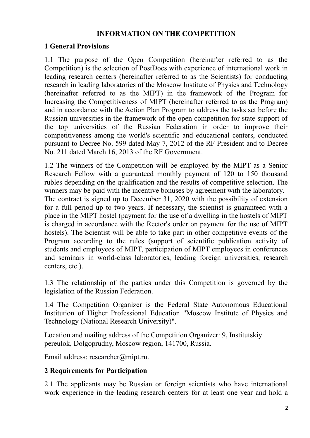#### **INFORMATION ON THE COMPETITION**

### **1 General Provisions**

1.1 The purpose of the Open Competition (hereinafter referred to as the Competition) is the selection of PostDocs with experience of international work in leading research centers (hereinafter referred to as the Scientists) for conducting research in leading laboratories of the Moscow Institute of Physics and Technology (hereinafter referred to as the MIPT) in the framework of the Program for Increasing the Competitiveness of MIPT (hereinafter referred to as the Program) and in accordance with the Action Plan Program to address the tasks set before the Russian universities in the framework of the open competition for state support of the top universities of the Russian Federation in order to improve their competitiveness among the world's scientific and educational centers, conducted pursuant to Decree No. 599 dated May 7, 2012 of the RF President and to Decree No. 211 dated March 16, 2013 of the RF Government.

1.2 The winners of the Competition will be employed by the MIPT as a Senior Research Fellow with a guaranteed monthly payment of 120 to 150 thousand rubles depending on the qualification and the results of competitive selection. The winners may be paid with the incentive bonuses by agreement with the laboratory. The contract is signed up to December 31, 2020 with the possibility of extension for a full period up to two years. If necessary, the scientist is guaranteed with a place in the MIPT hostel (payment for the use of a dwelling in the hostels of MIPT is charged in accordance with the Rector's order on payment for the use of MIPT hostels). The Scientist will be able to take part in other competitive events of the Program according to the rules (support of scientific publication activity of students and employees of MIPT, participation of MIPT employees in conferences and seminars in world-class laboratories, leading foreign universities, research centers, etc.).

1.3 The relationship of the parties under this Competition is governed by the legislation of the Russian Federation.

1.4 The Competition Organizer is the Federal State Autonomous Educational Institution of Higher Professional Education "Moscow Institute of Physics and Technology (National Research University)".

Location and mailing address of the Competition Organizer: 9, Institutskiy pereulok, Dolgoprudny, Moscow region, 141700, Russia.

Email address: researcher@mipt.ru.

### **2 Requirements for Participation**

2.1 The applicants may be Russian or foreign scientists who have international work experience in the leading research centers for at least one year and hold a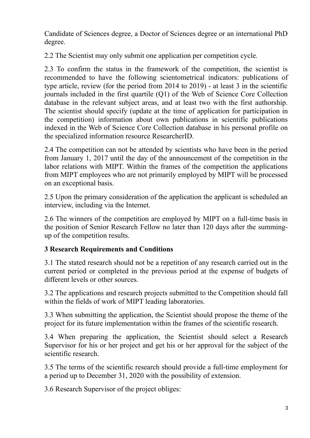Candidate of Sciences degree, a Doctor of Sciences degree or an international PhD degree.

2.2 The Scientist may only submit one application per competition cycle.

2.3 To confirm the status in the framework of the competition, the scientist is recommended to have the following scientometrical indicators: publications of type article, review (for the period from 2014 to 2019) - at least 3 in the scientific journals included in the first quartile (Q1) of the Web of Science Core Collection database in the relevant subject areas, and at least two with the first authorship. The scientist should specify (update at the time of application for participation in the competition) information about own publications in scientific publications indexed in the Web of Science Core Collection database in his personal profile on the specialized information resource ResearcherID.

2.4 The competition can not be attended by scientists who have been in the period from January 1, 2017 until the day of the announcement of the competition in the labor relations with MIPT. Within the frames of the competition the applications from MIPT employees who are not primarily employed by MIPT will be processed on an exceptional basis.

2.5 Upon the primary consideration of the application the applicant is scheduled an interview, including via the Internet.

2.6 The winners of the competition are employed by MIPT on a full-time basis in the position of Senior Research Fellow no later than 120 days after the summingup of the competition results.

## **3 Research Requirements and Conditions**

3.1 The stated research should not be a repetition of any research carried out in the current period or completed in the previous period at the expense of budgets of different levels or other sources.

3.2 The applications and research projects submitted to the Competition should fall within the fields of work of MIPT leading laboratories.

3.3 When submitting the application, the Scientist should propose the theme of the project for its future implementation within the frames of the scientific research.

3.4 When preparing the application, the Scientist should select a Research Supervisor for his or her project and get his or her approval for the subject of the scientific research.

3.5 The terms of the scientific research should provide a full-time employment for a period up to December 31, 2020 with the possibility of extension.

3.6 Research Supervisor of the project obliges: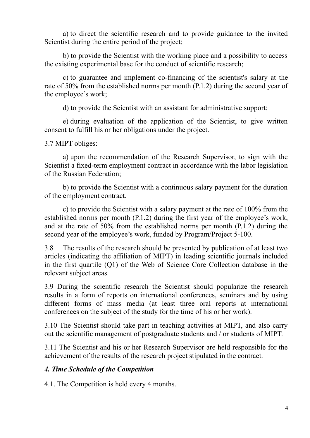а) to direct the scientific research and to provide guidance to the invited Scientist during the entire period of the project;

b) to provide the Scientist with the working place and a possibility to access the existing experimental base for the conduct of scientific research;

c) to guarantee and implement co-financing of the scientist's salary at the rate of 50% from the established norms per month (P.1.2) during the second year of the employee's work;

d) to provide the Scientist with an assistant for administrative support;

e) during evaluation of the application of the Scientist, to give written consent to fulfill his or her obligations under the project.

3.7 MIPT obliges:

а) upon the recommendation of the Research Supervisor, to sign with the Scientist a fixed-term employment contract in accordance with the labor legislation of the Russian Federation;

b) to provide the Scientist with a continuous salary payment for the duration of the employment contract.

c) to provide the Scientist with a salary payment at the rate of 100% from the established norms per month (P.1.2) during the first year of the employee's work, and at the rate of 50% from the established norms per month (P.1.2) during the second year of the employee's work, funded by Program/Project 5-100.

3.8 The results of the research should be presented by publication of at least two articles (indicating the affiliation of MIPT) in leading scientific journals included in the first quartile (Q1) of the Web of Science Core Collection database in the relevant subject areas.

3.9 During the scientific research the Scientist should popularize the research results in a form of reports on international conferences, seminars and by using different forms of mass media (at least three oral reports at international conferences on the subject of the study for the time of his or her work).

3.10 The Scientist should take part in teaching activities at MIPT, and also carry out the scientific management of postgraduate students and / or students of MIPT.

3.11 The Scientist and his or her Research Supervisor are held responsible for the achievement of the results of the research project stipulated in the contract.

### *4. Time Schedule of the Competition*

4.1. The Competition is held every 4 months.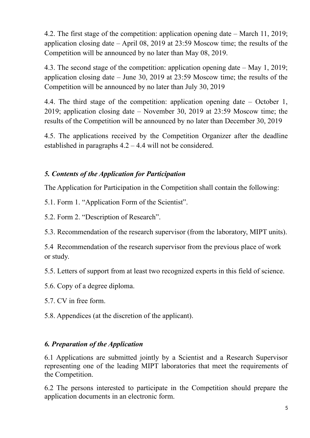4.2. The first stage of the competition: application opening date – March 11, 2019; application closing date – April 08, 2019 at 23:59 Moscow time; the results of the Competition will be announced by no later than May 08, 2019.

4.3. The second stage of the competition: application opening date – May 1, 2019; application closing date – June 30, 2019 at 23:59 Moscow time; the results of the Competition will be announced by no later than July 30, 2019

4.4. The third stage of the competition: application opening date – October 1, 2019; application closing date – November 30, 2019 at 23:59 Moscow time; the results of the Competition will be announced by no later than December 30, 2019

4.5. The applications received by the Competition Organizer after the deadline established in paragraphs 4.2 – 4.4 will not be considered.

# *5. Contents of the Application for Participation*

The Application for Participation in the Competition shall contain the following:

5.1. Form 1. "Application Form of the Scientist".

5.2. Form 2. "Description of Research".

5.3. Recommendation of the research supervisor (from the laboratory, MIPT units).

5.4 Recommendation of the research supervisor from the previous place of work or study.

5.5. Letters of support from at least two recognized experts in this field of science.

5.6. Copy of a degree diploma.

5.7. CV in free form.

5.8. Appendices (at the discretion of the applicant).

## *6. Preparation of the Application*

6.1 Applications are submitted jointly by a Scientist and a Research Supervisor representing one of the leading MIPT laboratories that meet the requirements of the Competition.

6.2 The persons interested to participate in the Competition should prepare the application documents in an electronic form.